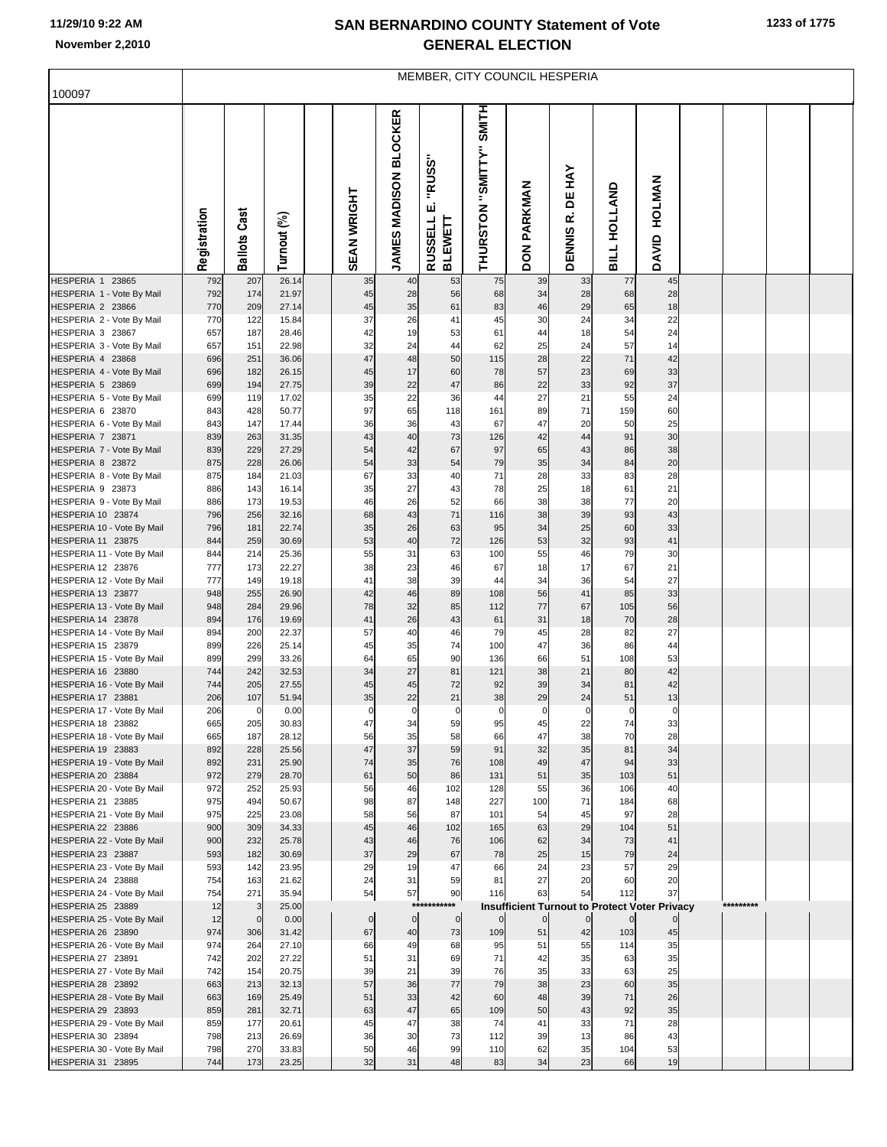## **SAN BERNARDINO COUNTY Statement of Vote November 2,2010 GENERAL ELECTION**

|  |  | 1233 of 1775 |
|--|--|--------------|
|--|--|--------------|

| 100097                                          | MEMBER, CITY COUNCIL HESPERIA |                     |                |  |                   |                              |                                                  |                                             |                                                            |                                     |                   |                      |           |  |
|-------------------------------------------------|-------------------------------|---------------------|----------------|--|-------------------|------------------------------|--------------------------------------------------|---------------------------------------------|------------------------------------------------------------|-------------------------------------|-------------------|----------------------|-----------|--|
|                                                 |                               |                     |                |  |                   |                              |                                                  |                                             |                                                            |                                     |                   |                      |           |  |
|                                                 | Registration                  | <b>Ballots Cast</b> | Turnout (%)    |  | SEAN WRIGHT       | <b>JAMES MADISON BLOCKER</b> | "RUSS"<br>ші<br><b>BLEWETT</b><br><b>RUSSELL</b> | HIMS<br>"SMITY"<br>SMITH<br><b>THURSTON</b> | DON PARKMAN                                                | <b>DE HAY</b><br>œ<br><b>DENNIS</b> | BILL HOLLAND      | DAVID HOLMAN         |           |  |
| HESPERIA 1 23865<br>HESPERIA 1 - Vote By Mail   | 792<br>792                    | 207<br>174          | 26.14<br>21.97 |  | 35<br>45          | 40<br>28                     | 53<br>56                                         | 75<br>68                                    | 39<br>34                                                   | 33<br>28                            | 77<br>68          | 45<br>28             |           |  |
| HESPERIA 2 23866                                | 770                           | 209                 | 27.14          |  | 45                | 35                           | 61                                               | 83                                          | 46                                                         | 29                                  | 65                | 18                   |           |  |
| HESPERIA 2 - Vote By Mail                       | 770                           | 122                 | 15.84          |  | 37                | 26                           | 41                                               | 45                                          | 30                                                         | 24                                  | 34                | 22                   |           |  |
| HESPERIA 3 23867                                | 657<br>657                    | 187<br>151          | 28.46<br>22.98 |  | 42<br>32          | 19<br>24                     | 53<br>44                                         | 61<br>62                                    | 44<br>25                                                   | 18<br>24                            | 54<br>57          | 24<br>14             |           |  |
| HESPERIA 3 - Vote By Mail<br>HESPERIA 4 23868   | 696                           | 251                 | 36.06          |  | 47                | 48                           | 50                                               | 115                                         | 28                                                         | 22                                  | 71                | 42                   |           |  |
| HESPERIA 4 - Vote By Mail                       | 696                           | 182                 | 26.15          |  | 45                | 17                           | 60                                               | 78                                          | 57                                                         | 23                                  | 69                | 33                   |           |  |
| HESPERIA 5 23869                                | 699                           | 194                 | 27.75          |  | 39                | 22                           | 47                                               | 86                                          | 22                                                         | 33                                  | 92                | 37                   |           |  |
| HESPERIA 5 - Vote By Mail                       | 699                           | 119                 | 17.02          |  | 35                | 22                           | 36                                               | 44                                          | 27                                                         | 21                                  | 55                | 24                   |           |  |
| HESPERIA 6 23870<br>HESPERIA 6 - Vote By Mail   | 843<br>843                    | 428<br>147          | 50.77<br>17.44 |  | 97<br>36          | 65<br>36                     | 118<br>43                                        | 161<br>67                                   | 89<br>47                                                   | 71<br>20                            | 159<br>50         | 60<br>25             |           |  |
| HESPERIA 7 23871                                | 839                           | 263                 | 31.35          |  | 43                | 40                           | 73                                               | 126                                         | 42                                                         | 44                                  | 91                | 30                   |           |  |
| HESPERIA 7 - Vote By Mail                       | 839                           | 229                 | 27.29          |  | 54                | 42                           | 67                                               | 97                                          | 65                                                         | 43                                  | 86                | 38                   |           |  |
| HESPERIA 8 23872                                | 875                           | 228                 | 26.06          |  | 54                | 33                           | 54                                               | 79                                          | 35                                                         | 34                                  | 84                | 20                   |           |  |
| HESPERIA 8 - Vote By Mail<br>HESPERIA 9 23873   | 875                           | 184                 | 21.03          |  | 67                | 33<br>27                     | 40                                               | 71                                          | 28                                                         | 33<br>18                            | 83                | 28                   |           |  |
| HESPERIA 9 - Vote By Mail                       | 886<br>886                    | 143<br>173          | 16.14<br>19.53 |  | 35<br>46          | 26                           | 43<br>52                                         | 78<br>66                                    | 25<br>38                                                   | 38                                  | 61<br>77          | 21<br>20             |           |  |
| HESPERIA 10 23874                               | 796                           | 256                 | 32.16          |  | 68                | 43                           | 71                                               | 116                                         | 38                                                         | 39                                  | 93                | 43                   |           |  |
| HESPERIA 10 - Vote By Mail                      | 796                           | 181                 | 22.74          |  | 35                | 26                           | 63                                               | 95                                          | 34                                                         | 25                                  | 60                | 33                   |           |  |
| HESPERIA 11 23875                               | 844                           | 259                 | 30.69          |  | 53                | 40                           | 72                                               | 126                                         | 53                                                         | 32                                  | 93                | 41                   |           |  |
| HESPERIA 11 - Vote By Mail<br>HESPERIA 12 23876 | 844<br>777                    | 214<br>173          | 25.36<br>22.27 |  | 55<br>38          | 31<br>23                     | 63<br>46                                         | 100<br>67                                   | 55<br>18                                                   | 46<br>17                            | 79<br>67          | 30<br>21             |           |  |
| HESPERIA 12 - Vote By Mail                      | 777                           | 149                 | 19.18          |  | 41                | 38                           | 39                                               | 44                                          | 34                                                         | 36                                  | 54                | 27                   |           |  |
| HESPERIA 13 23877                               | 948                           | 255                 | 26.90          |  | 42                | 46                           | 89                                               | 108                                         | 56                                                         | 41                                  | 85                | 33                   |           |  |
| HESPERIA 13 - Vote By Mail                      | 948                           | 284                 | 29.96          |  | 78                | 32                           | 85                                               | 112                                         | 77                                                         | 67                                  | 105               | 56                   |           |  |
| HESPERIA 14 23878<br>HESPERIA 14 - Vote By Mail | 894<br>894                    | 176<br>200          | 19.69<br>22.37 |  | 41<br>57          | 26<br>40                     | 43<br>46                                         | 61<br>79                                    | 31<br>45                                                   | 18<br>28                            | 70<br>82          | 28<br>27             |           |  |
| HESPERIA 15 23879                               | 899                           | 226                 | 25.14          |  | 45                | 35                           | 74                                               | 100                                         | 47                                                         | 36                                  | 86                | 44                   |           |  |
| HESPERIA 15 - Vote By Mail                      | 899                           | 299                 | 33.26          |  | 64                | 65                           | 90                                               | 136                                         | 66                                                         | 51                                  | 108               | 53                   |           |  |
| HESPERIA 16 23880                               | 744                           | 242                 | 32.53          |  | 34                | 27                           | 81                                               | 121                                         | 38                                                         | 21                                  | 80                | 42                   |           |  |
| HESPERIA 16 - Vote By Mail                      | 744                           | 205                 | 27.55          |  | 45                | 45                           | 72                                               | 92                                          | 39                                                         | 34                                  | 81                | 42                   |           |  |
| HESPERIA 17 23881<br>HESPERIA 17 - Vote By Mail | 206<br>206                    | 107<br>$\mathbf 0$  | 51.94<br>0.00  |  | 35<br>$\mathbf 0$ | 22<br>$\mathbf 0$            | 21<br>$\mathbf 0$                                | 38<br>$\mathbf 0$                           | 29<br>$\mathbf 0$                                          | 24<br>$\mathbf 0$                   | 51<br>$\mathbf 0$ | 13<br>$\overline{0}$ |           |  |
| HESPERIA 18 23882                               | 665                           | 205                 | 30.83          |  |                   | 34                           | 59                                               | 95                                          | 45                                                         | 22                                  | 74                | 33                   |           |  |
| HESPERIA 18 - Vote By Mail                      | 665                           | 187                 | 28.12          |  | 56                | 35                           | 58                                               | 66                                          | 47                                                         | 38                                  | 70                | 28                   |           |  |
| HESPERIA 19 23883                               | 892                           | 228                 | 25.56          |  | 47                | 37                           | 59                                               | 91                                          | 32                                                         | 35                                  | 81                | 34                   |           |  |
| HESPERIA 19 - Vote By Mail<br>HESPERIA 20 23884 | 892<br>972                    | 231<br>279          | 25.90<br>28.70 |  | 74<br>61          | 35<br>50                     | 76<br>86                                         | 108<br>131                                  | 49<br>51                                                   | 47<br>35                            | 94<br>103         | 33<br>51             |           |  |
| HESPERIA 20 - Vote By Mail                      | 972                           | 252                 | 25.93          |  | 56                | 46                           | 102                                              | 128                                         | 55                                                         | 36                                  | 106               | 40                   |           |  |
| HESPERIA 21 23885                               | 975                           | 494                 | 50.67          |  | 98                | 87                           | 148                                              | 227                                         | 100                                                        | 71                                  | 184               | 68                   |           |  |
| HESPERIA 21 - Vote By Mail                      | 975                           | 225                 | 23.08          |  | 58                | 56                           | 87                                               | 101                                         | 54                                                         | 45                                  | 97                | 28                   |           |  |
| HESPERIA 22 23886<br>HESPERIA 22 - Vote By Mail | 900<br>900                    | 309<br>232          | 34.33<br>25.78 |  | 45<br>43          | 46<br>46                     | 102<br>76                                        | 165<br>106                                  | 63<br>62                                                   | 29<br>34                            | 104<br>73         | 51<br>41             |           |  |
| HESPERIA 23 23887                               | 593                           | 182                 | 30.69          |  | 37                | 29                           | 67                                               | 78                                          | 25                                                         | 15                                  | 79                | 24                   |           |  |
| HESPERIA 23 - Vote By Mail                      | 593                           | 142                 | 23.95          |  | 29                | 19                           | 47                                               | 66                                          | 24                                                         | 23                                  | 57                | 29                   |           |  |
| HESPERIA 24 23888                               | 754                           | 163                 | 21.62          |  | 24                | 31                           | 59                                               | 81                                          | 27                                                         | 20                                  | 60                | 20                   |           |  |
| HESPERIA 24 - Vote By Mail<br>HESPERIA 25 23889 | 754<br>12                     | 271<br>3            | 35.94<br>25.00 |  | 54                | 57<br>***                    | 90<br>***                                        | 116                                         | 63<br><b>Insufficient Turnout to Protect Voter Privacy</b> | 54                                  | 112               | 37                   | ********* |  |
| HESPERIA 25 - Vote By Mail                      | 12                            | $\mathbf 0$         | 0.00           |  | $\mathbf 0$       | $\mathbf 0$                  | $\mathbf 0$                                      | $\Omega$                                    |                                                            | $\Omega$                            |                   |                      |           |  |
| HESPERIA 26 23890                               | 974                           | 306                 | 31.42          |  | 67                | 40                           | 73                                               | 109                                         | 51                                                         | 42                                  | 103               | 45                   |           |  |
| HESPERIA 26 - Vote By Mail                      | 974                           | 264                 | 27.10          |  | 66                | 49                           | 68                                               | 95                                          | 51                                                         | 55                                  | 114               | 35                   |           |  |
| HESPERIA 27 23891                               | 742<br>742                    | 202<br>154          | 27.22<br>20.75 |  | 51<br>39          | 31<br>21                     | 69<br>39                                         | 71<br>76                                    | 42<br>35                                                   | 35<br>33                            | 63<br>63          | 35<br>25             |           |  |
| HESPERIA 27 - Vote By Mail<br>HESPERIA 28 23892 | 663                           | 213                 | 32.13          |  | 57                | 36                           | 77                                               | 79                                          | 38                                                         | 23                                  | 60                | 35                   |           |  |
| HESPERIA 28 - Vote By Mail                      | 663                           | 169                 | 25.49          |  | 51                | 33                           | 42                                               | 60                                          | 48                                                         | 39                                  | 71                | 26                   |           |  |
| HESPERIA 29 23893                               | 859                           | 281                 | 32.71          |  | 63                | 47                           | 65                                               | 109                                         | 50                                                         | 43                                  | 92                | 35                   |           |  |
| HESPERIA 29 - Vote By Mail                      | 859                           | 177                 | 20.61          |  | 45                | 47                           | 38                                               | 74                                          | 41                                                         | 33                                  | 71                | 28                   |           |  |
| HESPERIA 30 23894<br>HESPERIA 30 - Vote By Mail | 798<br>798                    | 213<br>270          | 26.69<br>33.83 |  | 36<br>50          | 30<br>46                     | 73<br>99                                         | 112<br>110                                  | 39<br>62                                                   | 13<br>35                            | 86<br>104         | 43<br>53             |           |  |
| HESPERIA 31 23895                               | 744                           | 173                 | 23.25          |  | 32                | 31                           | 48                                               | 83                                          | 34                                                         | 23                                  | 66                | 19                   |           |  |
|                                                 |                               |                     |                |  |                   |                              |                                                  |                                             |                                                            |                                     |                   |                      |           |  |